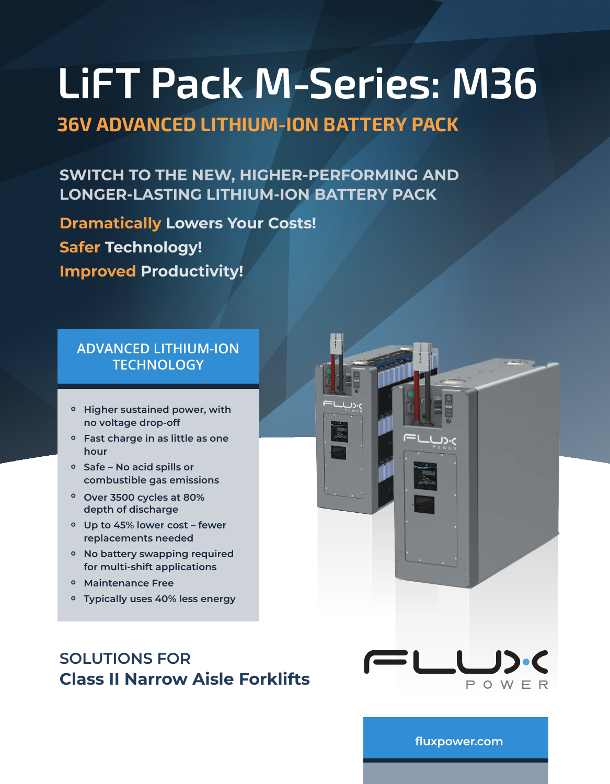# **36V ADVANCED LITHIUM-ION BATTERY PACK**

# **SWITCH TO THE NEW, HIGHER-PERFORMING AND LONGER-LASTING LITHIUM-ION BATTERY PACK**

**Dramatically Lowers Your Costs! Safer Technology! Improved Productivity!** 

## **ADVANCED LITHIUM-ION TECHNOLOGY**

- **Higher sustained power, with no voltage drop-off**
- **Fast charge in as little as one hour**
- **Safe No acid spills or combustible gas emissions**
- **Over 3500 cycles at 80% depth of discharge**
- **Up to 45% lower cost fewer replacements needed**
- **No battery swapping required for multi-shift applications**
- **Maintenance Free**
- **Typically uses 40% less energy**

# **SOLUTIONS FOR Class II Narrow Aisle Forklifts**



**[fluxpower.com](https://www.fluxpower.com)**